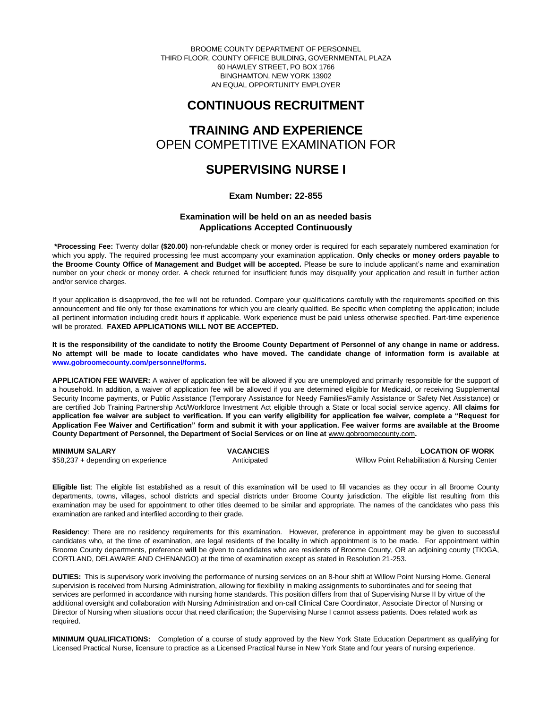BROOME COUNTY DEPARTMENT OF PERSONNEL THIRD FLOOR, COUNTY OFFICE BUILDING, GOVERNMENTAL PLAZA 60 HAWLEY STREET, PO BOX 1766 BINGHAMTON, NEW YORK 13902 AN EQUAL OPPORTUNITY EMPLOYER

## **CONTINUOUS RECRUITMENT**

# **TRAINING AND EXPERIENCE** OPEN COMPETITIVE EXAMINATION FOR

## **SUPERVISING NURSE I**

## **Exam Number: 22-855**

## **Examination will be held on an as needed basis Applications Accepted Continuously**

**\*Processing Fee:** Twenty dollar **(\$20.00)** non-refundable check or money order is required for each separately numbered examination for which you apply. The required processing fee must accompany your examination application. **Only checks or money orders payable to the Broome County Office of Management and Budget will be accepted.** Please be sure to include applicant's name and examination number on your check or money order. A check returned for insufficient funds may disqualify your application and result in further action and/or service charges.

If your application is disapproved, the fee will not be refunded. Compare your qualifications carefully with the requirements specified on this announcement and file only for those examinations for which you are clearly qualified. Be specific when completing the application; include all pertinent information including credit hours if applicable. Work experience must be paid unless otherwise specified. Part-time experience will be prorated. **FAXED APPLICATIONS WILL NOT BE ACCEPTED.** 

**It is the responsibility of the candidate to notify the Broome County Department of Personnel of any change in name or address. No attempt will be made to locate candidates who have moved. The candidate change of information form is available at [www.gobroomecounty.com/personnel/forms.](http://www.gobroomecounty.com/personnel/forms)** 

**APPLICATION FEE WAIVER:** A waiver of application fee will be allowed if you are unemployed and primarily responsible for the support of a household. In addition, a waiver of application fee will be allowed if you are determined eligible for Medicaid, or receiving Supplemental Security Income payments, or Public Assistance (Temporary Assistance for Needy Families/Family Assistance or Safety Net Assistance) or are certified Job Training Partnership Act/Workforce Investment Act eligible through a State or local social service agency. **All claims for application fee waiver are subject to verification. If you can verify eligibility for application fee waiver, complete a "Request for Application Fee Waiver and Certification" form and submit it with your application. Fee waiver forms are available at the Broome County Department of Personnel, the Department of Social Services or on line at** www.gobroomecounty.com**.** 

| <b>MINIMUM SALARY</b>              | <b>VACANCIES</b> | <b>LOCATION OF WORK</b>                      |
|------------------------------------|------------------|----------------------------------------------|
| \$58,237 + depending on experience | Anticipated      | Willow Point Rehabilitation & Nursing Center |

**Eligible list**: The eligible list established as a result of this examination will be used to fill vacancies as they occur in all Broome County departments, towns, villages, school districts and special districts under Broome County jurisdiction. The eligible list resulting from this examination may be used for appointment to other titles deemed to be similar and appropriate. The names of the candidates who pass this examination are ranked and interfiled according to their grade.

**Residency**: There are no residency requirements for this examination. However, preference in appointment may be given to successful candidates who, at the time of examination, are legal residents of the locality in which appointment is to be made. For appointment within Broome County departments, preference **will** be given to candidates who are residents of Broome County, OR an adjoining county (TIOGA, CORTLAND, DELAWARE AND CHENANGO) at the time of examination except as stated in Resolution 21-253.

**DUTIES:** This is supervisory work involving the performance of nursing services on an 8-hour shift at Willow Point Nursing Home. General supervision is received from Nursing Administration, allowing for flexibility in making assignments to subordinates and for seeing that services are performed in accordance with nursing home standards. This position differs from that of Supervising Nurse II by virtue of the additional oversight and collaboration with Nursing Administration and on-call Clinical Care Coordinator, Associate Director of Nursing or Director of Nursing when situations occur that need clarification; the Supervising Nurse I cannot assess patients. Does related work as required.

**MINIMUM QUALIFICATIONS:** Completion of a course of study approved by the New York State Education Department as qualifying for Licensed Practical Nurse, licensure to practice as a Licensed Practical Nurse in New York State and four years of nursing experience.